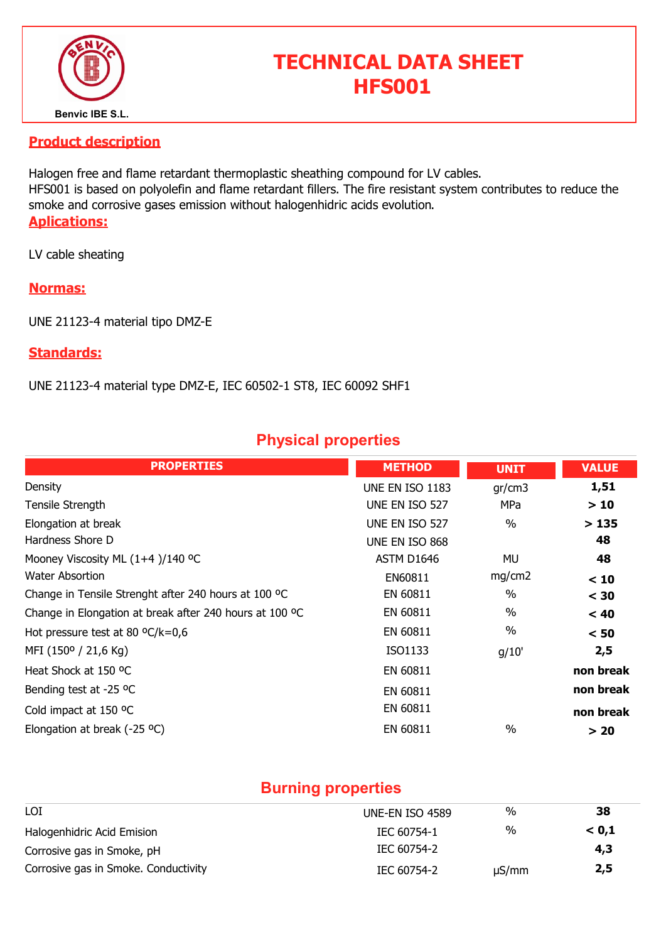

# TECHNICAL DATA SHEET HFS001

#### Product description

Halogen free and flame retardant thermoplastic sheathing compound for LV cables. HFS001 is based on polyolefin and flame retardant fillers. The fire resistant system contributes to reduce the smoke and corrosive gases emission without halogenhidric acids evolution. Aplications:

LV cable sheating

#### Normas:

UNE 21123-4 material tipo DMZ-E

#### Standards:

UNE 21123-4 material type DMZ-E, IEC 60502-1 ST8, IEC 60092 SHF1

## Physical properties

| <b>PROPERTIES</b>                                       | <b>METHOD</b>          | <b>UNIT</b> | <b>VALUE</b> |
|---------------------------------------------------------|------------------------|-------------|--------------|
| Density                                                 | <b>UNE EN ISO 1183</b> | gr/cm3      | 1,51         |
| Tensile Strength                                        | UNE EN ISO 527         | MPa         | >10          |
| Elongation at break                                     | UNE EN ISO 527         | $\%$        | >135         |
| Hardness Shore D                                        | UNE EN ISO 868         |             | 48           |
| Mooney Viscosity ML (1+4)/140 °C                        | ASTM D1646             | MU          | 48           |
| Water Absortion                                         | EN60811                | mg/cm2      | < 10         |
| Change in Tensile Strenght after 240 hours at 100 °C    | EN 60811               | $\%$        | $<$ 30       |
| Change in Elongation at break after 240 hours at 100 °C | EN 60811               | $\%$        | < 40         |
| Hot pressure test at 80 $^{\circ}$ C/k=0,6              | EN 60811               | $\%$        | < 50         |
| MFI (150° / 21,6 Kg)                                    | ISO1133                | g/10'       | 2,5          |
| Heat Shock at 150 °C                                    | EN 60811               |             | non break    |
| Bending test at -25 °C                                  | EN 60811               |             | non break    |
| Cold impact at 150 °C                                   | EN 60811               |             | non break    |
| Elongation at break (-25 °C)                            | EN 60811               | $\%$        | > 20         |

## Burning properties

| LOI                                  | UNE-EN ISO 4589 | %          | 38    |  |
|--------------------------------------|-----------------|------------|-------|--|
| Halogenhidric Acid Emision           | IEC 60754-1     | %          | < 0.1 |  |
| Corrosive gas in Smoke, pH           | IEC 60754-2     |            | 4,3   |  |
| Corrosive gas in Smoke. Conductivity | IEC 60754-2     | $\mu S/mm$ | 2,5   |  |